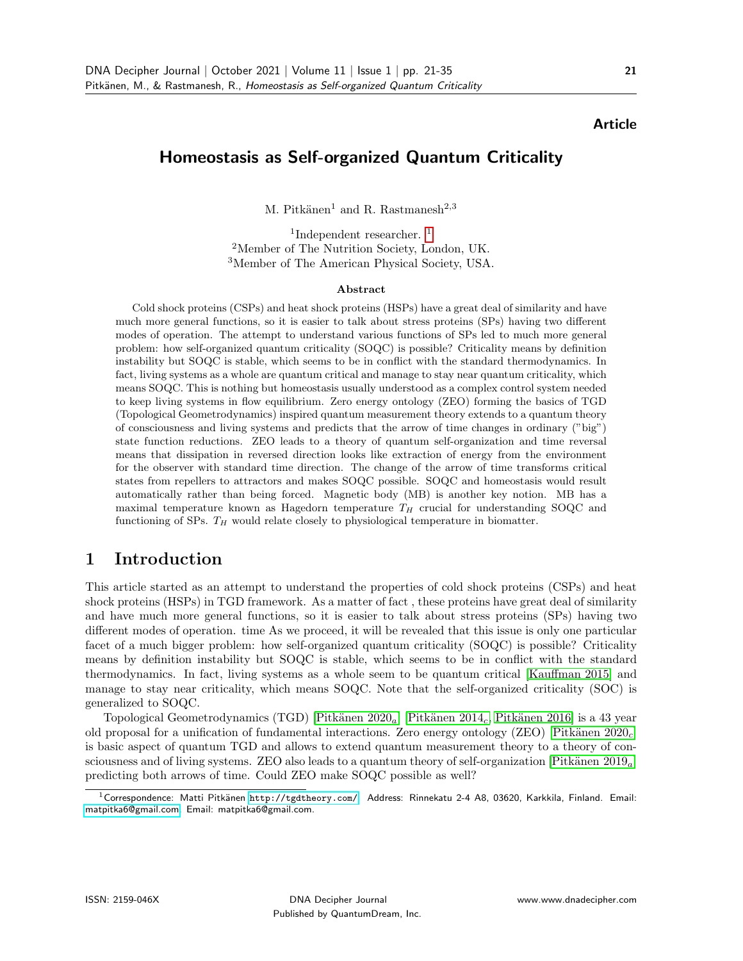#### Article

## Homeostasis as Self-organized Quantum Criticality

M. Pitkänen<sup>1</sup> and R. Rastmanesh<sup>2,3</sup>

<sup>[1](#page-0-0)</sup>Independent researcher.<sup>1</sup> <sup>2</sup>Member of The Nutrition Society, London, UK. <sup>3</sup>Member of The American Physical Society, USA.

#### Abstract

Cold shock proteins (CSPs) and heat shock proteins (HSPs) have a great deal of similarity and have much more general functions, so it is easier to talk about stress proteins (SPs) having two different modes of operation. The attempt to understand various functions of SPs led to much more general problem: how self-organized quantum criticality (SOQC) is possible? Criticality means by definition instability but SOQC is stable, which seems to be in conflict with the standard thermodynamics. In fact, living systems as a whole are quantum critical and manage to stay near quantum criticality, which means SOQC. This is nothing but homeostasis usually understood as a complex control system needed to keep living systems in flow equilibrium. Zero energy ontology (ZEO) forming the basics of TGD (Topological Geometrodynamics) inspired quantum measurement theory extends to a quantum theory of consciousness and living systems and predicts that the arrow of time changes in ordinary ("big") state function reductions. ZEO leads to a theory of quantum self-organization and time reversal means that dissipation in reversed direction looks like extraction of energy from the environment for the observer with standard time direction. The change of the arrow of time transforms critical states from repellers to attractors and makes SOQC possible. SOQC and homeostasis would result automatically rather than being forced. Magnetic body (MB) is another key notion. MB has a maximal temperature known as Hagedorn temperature  $T_H$  crucial for understanding SOQC and functioning of SPs.  $T_H$  would relate closely to physiological temperature in biomatter.

# 1 Introduction

This article started as an attempt to understand the properties of cold shock proteins (CSPs) and heat shock proteins (HSPs) in TGD framework. As a matter of fact , these proteins have great deal of similarity and have much more general functions, so it is easier to talk about stress proteins (SPs) having two different modes of operation. time As we proceed, it will be revealed that this issue is only one particular facet of a much bigger problem: how self-organized quantum criticality (SOQC) is possible? Criticality means by definition instability but SOQC is stable, which seems to be in conflict with the standard thermodynamics. In fact, living systems as a whole seem to be quantum critical [\[Kauffman 2015\]](#page-15-0) and manage to stay near criticality, which means SOQC. Note that the self-organized criticality (SOC) is generalized to SOQC.

Topological Geometrodynamics (TGD) [Pitkänen 2020<sub>a</sub>] [Pitkänen 2014<sub>c</sub>, Pitkänen 2016] is a 43 year old proposal for a unification of fundamental interactions. Zero energy ontology (ZEO) [Pitkänen 2020<sub>c</sub>] is basic aspect of quantum TGD and allows to extend quantum measurement theory to a theory of consciousness and of living systems. ZEO also leads to a quantum theory of self-organization [Pitkänen  $2019<sub>a</sub>$ ] predicting both arrows of time. Could ZEO make SOQC possible as well?

<span id="page-0-0"></span> $1$ Correspondence: Matti Pitkänen <http://tgdtheory.com/>. Address: Rinnekatu 2-4 A8, 03620, Karkkila, Finland. Email: [matpitka6@gmail.com.](mailto:matpitka6@gmail.com) Email: matpitka6@gmail.com.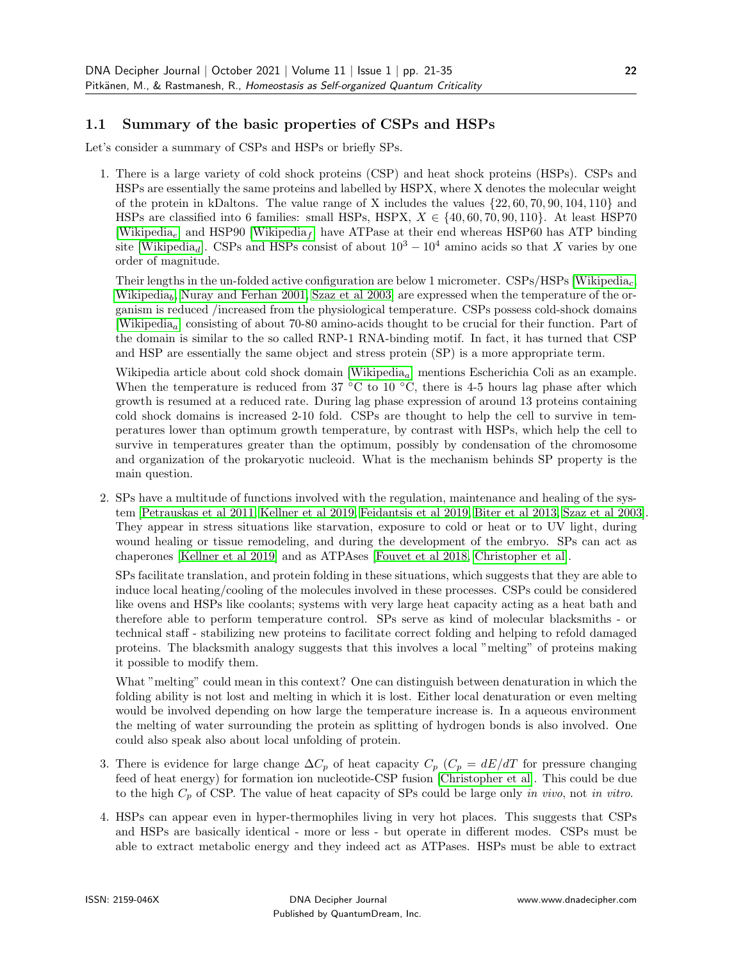### 1.1 Summary of the basic properties of CSPs and HSPs

Let's consider a summary of CSPs and HSPs or briefly SPs.

1. There is a large variety of cold shock proteins (CSP) and heat shock proteins (HSPs). CSPs and HSPs are essentially the same proteins and labelled by HSPX, where X denotes the molecular weight of the protein in kDaltons. The value range of X includes the values  $\{22, 60, 70, 90, 104, 110\}$  and HSPs are classified into 6 families: small HSPs, HSPX,  $X \in \{40, 60, 70, 90, 110\}$ . At least HSP70 [\[Wikipedia](#page-17-1)<sub>e</sub>] and HSP90 [Wikipedia<sub>f</sub>] have ATPase at their end whereas HSP60 has ATP binding site [\[Wikipedia](#page-17-2)<sub>d</sub>]. CSPs and HSPs consist of about  $10^3 - 10^4$  amino acids so that X varies by one order of magnitude.

Their lengths in the un-folded active configuration are below 1 micrometer. CSPs/HSPs [\[Wikipedia](#page-17-3)<sub>c</sub>, [Wikipedia](#page-17-4)<sub>b</sub>, [Nuray and Ferhan 2001,](#page-15-1) [Szaz et al 2003\]](#page-17-5) are expressed when the temperature of the organism is reduced /increased from the physiological temperature. CSPs possess cold-shock domains [\[Wikipedia](#page-17-6)a] consisting of about 70-80 amino-acids thought to be crucial for their function. Part of the domain is similar to the so called RNP-1 RNA-binding motif. In fact, it has turned that CSP and HSP are essentially the same object and stress protein (SP) is a more appropriate term.

Wikipedia article about cold shock domain  $[\text{Wikipedia}_a]$  mentions Escherichia Coli as an example. When the temperature is reduced from 37  $\degree$ C to 10  $\degree$ C, there is 4-5 hours lag phase after which growth is resumed at a reduced rate. During lag phase expression of around 13 proteins containing cold shock domains is increased 2-10 fold. CSPs are thought to help the cell to survive in temperatures lower than optimum growth temperature, by contrast with HSPs, which help the cell to survive in temperatures greater than the optimum, possibly by condensation of the chromosome and organization of the prokaryotic nucleoid. What is the mechanism behinds SP property is the main question.

2. SPs have a multitude of functions involved with the regulation, maintenance and healing of the system [\[Petrauskas et al 2011,](#page-15-2) [Kellner et al 2019,](#page-15-3) [Feidantsis et al 2019,](#page-14-0) [Biter et al 2013,](#page-14-1) [Szaz et al 2003\]](#page-17-5). They appear in stress situations like starvation, exposure to cold or heat or to UV light, during wound healing or tissue remodeling, and during the development of the embryo. SPs can act as chaperones [\[Kellner et al 2019\]](#page-15-3) and as ATPAses [\[Fouvet et al 2018,](#page-15-4) [Christopher et al\]](#page-14-2).

SPs facilitate translation, and protein folding in these situations, which suggests that they are able to induce local heating/cooling of the molecules involved in these processes. CSPs could be considered like ovens and HSPs like coolants; systems with very large heat capacity acting as a heat bath and therefore able to perform temperature control. SPs serve as kind of molecular blacksmiths - or technical staff - stabilizing new proteins to facilitate correct folding and helping to refold damaged proteins. The blacksmith analogy suggests that this involves a local "melting" of proteins making it possible to modify them.

What "melting" could mean in this context? One can distinguish between denaturation in which the folding ability is not lost and melting in which it is lost. Either local denaturation or even melting would be involved depending on how large the temperature increase is. In a aqueous environment the melting of water surrounding the protein as splitting of hydrogen bonds is also involved. One could also speak also about local unfolding of protein.

- 3. There is evidence for large change  $\Delta C_p$  of heat capacity  $C_p$  ( $C_p = dE/dT$  for pressure changing feed of heat energy) for formation ion nucleotide-CSP fusion [\[Christopher et al\]](#page-14-2). This could be due to the high  $C_p$  of CSP. The value of heat capacity of SPs could be large only in vivo, not in vitro.
- 4. HSPs can appear even in hyper-thermophiles living in very hot places. This suggests that CSPs and HSPs are basically identical - more or less - but operate in different modes. CSPs must be able to extract metabolic energy and they indeed act as ATPases. HSPs must be able to extract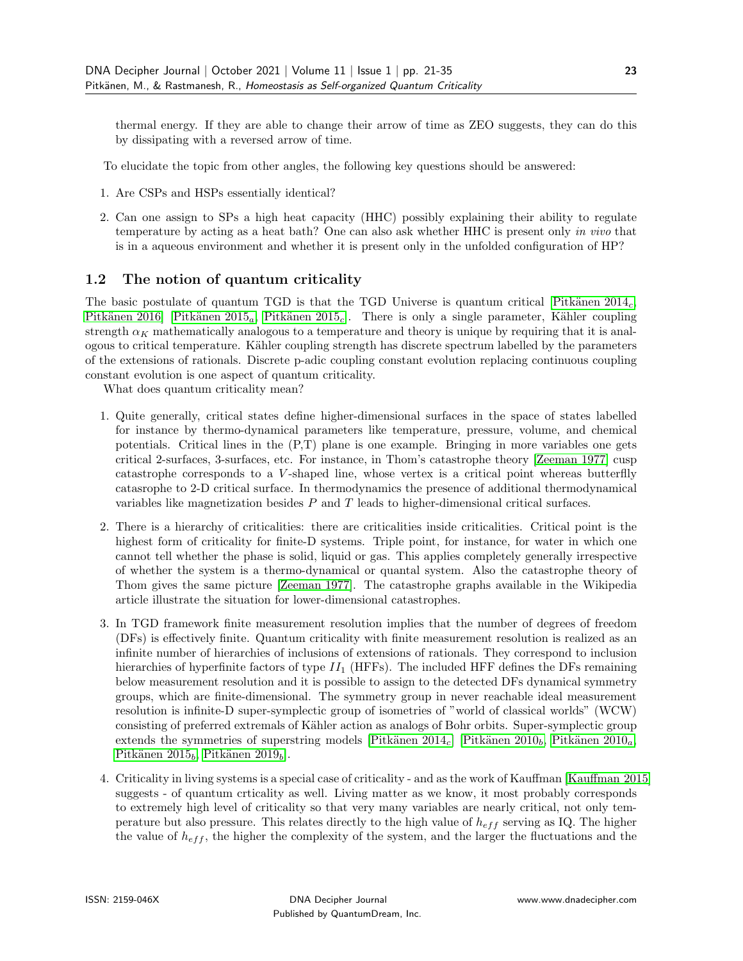thermal energy. If they are able to change their arrow of time as ZEO suggests, they can do this by dissipating with a reversed arrow of time.

To elucidate the topic from other angles, the following key questions should be answered:

- 1. Are CSPs and HSPs essentially identical?
- 2. Can one assign to SPs a high heat capacity (HHC) possibly explaining their ability to regulate temperature by acting as a heat bath? One can also ask whether HHC is present only in vivo that is in a aqueous environment and whether it is present only in the unfolded configuration of HP?

#### 1.2 The notion of quantum criticality

The basic postulate of quantum TGD is that the TGD Universe is quantum critical [Pitkänen  $2014<sub>c</sub>$ , Pitkänen 2016] [Pitkänen 2015<sub>a</sub>, Pitkänen 2015<sub>c</sub>]. There is only a single parameter, Kähler coupling strength  $\alpha_K$  mathematically analogous to a temperature and theory is unique by requiring that it is analogous to critical temperature. K¨ahler coupling strength has discrete spectrum labelled by the parameters of the extensions of rationals. Discrete p-adic coupling constant evolution replacing continuous coupling constant evolution is one aspect of quantum criticality.

What does quantum criticality mean?

- 1. Quite generally, critical states define higher-dimensional surfaces in the space of states labelled for instance by thermo-dynamical parameters like temperature, pressure, volume, and chemical potentials. Critical lines in the (P,T) plane is one example. Bringing in more variables one gets critical 2-surfaces, 3-surfaces, etc. For instance, in Thom's catastrophe theory [\[Zeeman 1977\]](#page-17-7) cusp catastrophe corresponds to a V -shaped line, whose vertex is a critical point whereas butterflly catasrophe to 2-D critical surface. In thermodynamics the presence of additional thermodynamical variables like magnetization besides P and T leads to higher-dimensional critical surfaces.
- 2. There is a hierarchy of criticalities: there are criticalities inside criticalities. Critical point is the highest form of criticality for finite-D systems. Triple point, for instance, for water in which one cannot tell whether the phase is solid, liquid or gas. This applies completely generally irrespective of whether the system is a thermo-dynamical or quantal system. Also the catastrophe theory of Thom gives the same picture [\[Zeeman 1977\]](#page-17-7). The catastrophe graphs available in the Wikipedia article illustrate the situation for lower-dimensional catastrophes.
- 3. In TGD framework finite measurement resolution implies that the number of degrees of freedom (DFs) is effectively finite. Quantum criticality with finite measurement resolution is realized as an infinite number of hierarchies of inclusions of extensions of rationals. They correspond to inclusion hierarchies of hyperfinite factors of type  $II_1$  (HFFs). The included HFF defines the DFs remaining below measurement resolution and it is possible to assign to the detected DFs dynamical symmetry groups, which are finite-dimensional. The symmetry group in never reachable ideal measurement resolution is infinite-D super-symplectic group of isometries of "world of classical worlds" (WCW) consisting of preferred extremals of Kähler action as analogs of Bohr orbits. Super-symplectic group extends the symmetries of superstring models [Pitkänen 2014<sub>c</sub>] [Pitkänen 2010<sub>b</sub>, Pitkänen 2010<sub>a</sub>, Pitkänen 2015 $_b$ , Pitkänen 2019 $_b$ ].
- 4. Criticality in living systems is a special case of criticality and as the work of Kauffman [\[Kauffman 2015\]](#page-15-0) suggests - of quantum crticality as well. Living matter as we know, it most probably corresponds to extremely high level of criticality so that very many variables are nearly critical, not only temperature but also pressure. This relates directly to the high value of  $h_{eff}$  serving as IQ. The higher the value of  $h_{eff}$ , the higher the complexity of the system, and the larger the fluctuations and the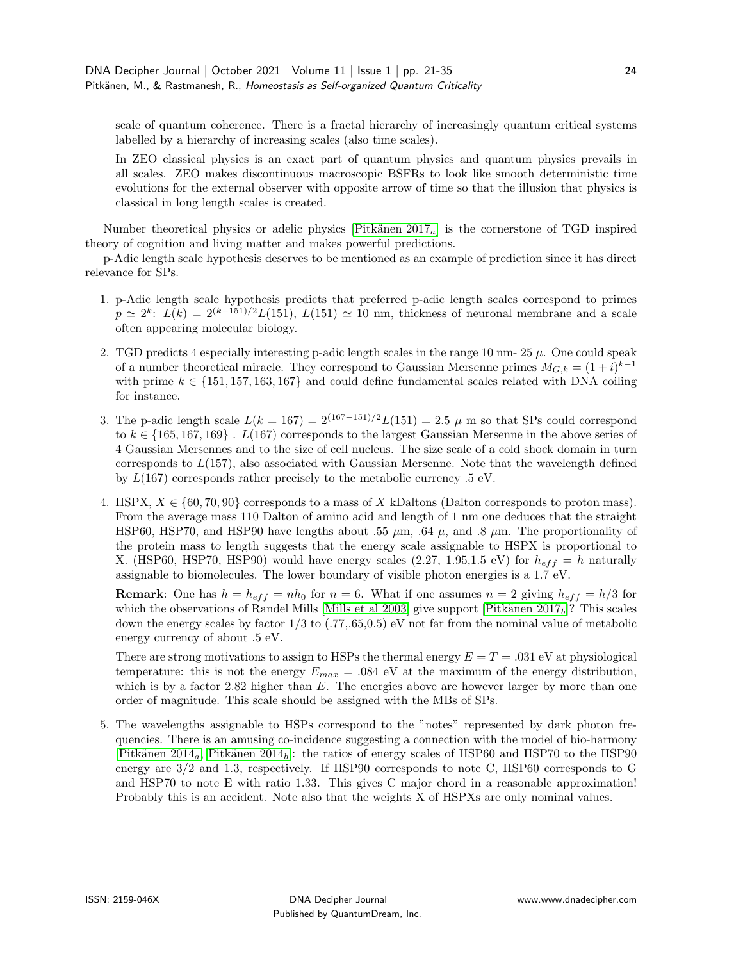scale of quantum coherence. There is a fractal hierarchy of increasingly quantum critical systems labelled by a hierarchy of increasing scales (also time scales).

In ZEO classical physics is an exact part of quantum physics and quantum physics prevails in all scales. ZEO makes discontinuous macroscopic BSFRs to look like smooth deterministic time evolutions for the external observer with opposite arrow of time so that the illusion that physics is classical in long length scales is created.

Number theoretical physics or adelic physics [Pitkänen  $2017<sub>a</sub>$ ] is the cornerstone of TGD inspired theory of cognition and living matter and makes powerful predictions.

p-Adic length scale hypothesis deserves to be mentioned as an example of prediction since it has direct relevance for SPs.

- 1. p-Adic length scale hypothesis predicts that preferred p-adic length scales correspond to primes  $p \simeq 2^k$ :  $L(k) = 2^{(k-151)/2}L(151)$ ,  $L(151) \simeq 10$  nm, thickness of neuronal membrane and a scale often appearing molecular biology.
- 2. TGD predicts 4 especially interesting p-adic length scales in the range 10 nm-  $25 \mu$ . One could speak of a number theoretical miracle. They correspond to Gaussian Mersenne primes  $M_{G,k} = (1+i)^{k-1}$ with prime  $k \in \{151, 157, 163, 167\}$  and could define fundamental scales related with DNA coiling for instance.
- 3. The p-adic length scale  $L(k = 167) = 2^{(167-151)/2}L(151) = 2.5 \mu$  m so that SPs could correspond to  $k \in \{165, 167, 169\}$ .  $L(167)$  corresponds to the largest Gaussian Mersenne in the above series of 4 Gaussian Mersennes and to the size of cell nucleus. The size scale of a cold shock domain in turn corresponds to  $L(157)$ , also associated with Gaussian Mersenne. Note that the wavelength defined by  $L(167)$  corresponds rather precisely to the metabolic currency .5 eV.
- 4. HSPX,  $X \in \{60, 70, 90\}$  corresponds to a mass of X kDaltons (Dalton corresponds to proton mass). From the average mass 110 Dalton of amino acid and length of 1 nm one deduces that the straight HSP60, HSP70, and HSP90 have lengths about .55  $\mu$ m, .64  $\mu$ , and .8  $\mu$ m. The proportionality of the protein mass to length suggests that the energy scale assignable to HSPX is proportional to X. (HSP60, HSP70, HSP90) would have energy scales (2.27, 1.95,1.5 eV) for  $h_{eff} = h$  naturally assignable to biomolecules. The lower boundary of visible photon energies is a 1.7 eV.

**Remark:** One has  $h = h_{eff} = nh_0$  for  $n = 6$ . What if one assumes  $n = 2$  giving  $h_{eff} = h/3$  for which the observations of Randel Mills [\[Mills et al 2003\]](#page-15-7) give support [Pitkänen  $2017<sub>b</sub>$ ]? This scales down the energy scales by factor  $1/3$  to  $(.77, .65, 0.5)$  eV not far from the nominal value of metabolic energy currency of about .5 eV.

There are strong motivations to assign to HSPs the thermal energy  $E = T = .031$  eV at physiological temperature: this is not the energy  $E_{max} = .084$  eV at the maximum of the energy distribution, which is by a factor  $2.82$  higher than E. The energies above are however larger by more than one order of magnitude. This scale should be assigned with the MBs of SPs.

5. The wavelengths assignable to HSPs correspond to the "notes" represented by dark photon frequencies. There is an amusing co-incidence suggesting a connection with the model of bio-harmony [Pitkänen 2014<sub>a</sub>, Pitkänen 2014<sub>b</sub>]: the ratios of energy scales of HSP60 and HSP70 to the HSP90 energy are 3/2 and 1.3, respectively. If HSP90 corresponds to note C, HSP60 corresponds to G and HSP70 to note E with ratio 1.33. This gives C major chord in a reasonable approximation! Probably this is an accident. Note also that the weights X of HSPXs are only nominal values.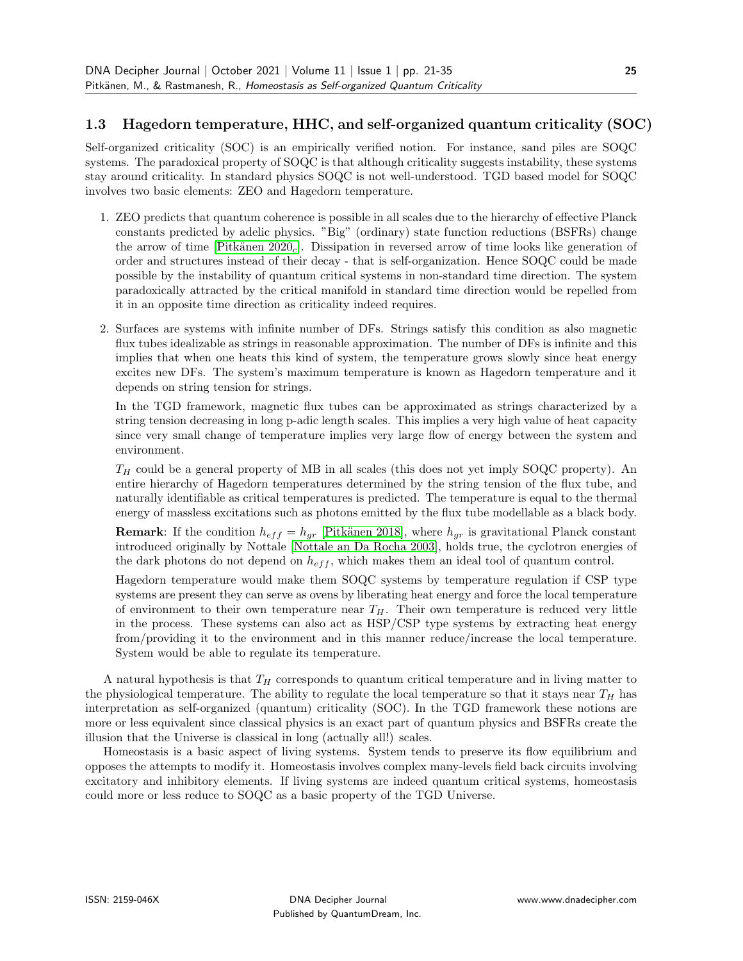#### 1.3 Hagedorn temperature, HHC, and self-organized quantum criticality (SOC)

Self-organized criticality (SOC) is an empirically verified notion. For instance, sand piles are SOQC systems. The paradoxical property of SOQC is that although criticality suggests instability, these systems stay around criticality. In standard physics SOQC is not well-understood. TGD based model for SOQC involves two basic elements: ZEO and Hagedorn temperature.

- 1. ZEO predicts that quantum coherence is possible in all scales due to the hierarchy of effective Planck constants predicted by adelic physics. "Big" (ordinary) state function reductions (BSFRs) change the arrow of time [Pitkänen 2020<sub>c</sub>]. Dissipation in reversed arrow of time looks like generation of order and structures instead of their decay - that is self-organization. Hence SOQC could be made possible by the instability of quantum critical systems in non-standard time direction. The system paradoxically attracted by the critical manifold in standard time direction would be repelled from it in an opposite time direction as criticality indeed requires.
- 2. Surfaces are systems with infinite number of DFs. Strings satisfy this condition as also magnetic flux tubes idealizable as strings in reasonable approximation. The number of DFs is infinite and this implies that when one heats this kind of system, the temperature grows slowly since heat energy excites new DFs. The system's maximum temperature is known as Hagedorn temperature and it depends on string tension for strings.

In the TGD framework, magnetic flux tubes can be approximated as strings characterized by a string tension decreasing in long p-adic length scales. This implies a very high value of heat capacity since very small change of temperature implies very large flow of energy between the system and environment.

 $T_H$  could be a general property of MB in all scales (this does not yet imply SOQC property). An entire hierarchy of Hagedorn temperatures determined by the string tension of the flux tube, and naturally identifiable as critical temperatures is predicted. The temperature is equal to the thermal energy of massless excitations such as photons emitted by the flux tube modellable as a black body.

**Remark:** If the condition  $h_{eff} = h_{gr}$  [Pitkänen 2018], where  $h_{gr}$  is gravitational Planck constant introduced originally by Nottale [\[Nottale an Da Rocha 2003\]](#page-15-8), holds true, the cyclotron energies of the dark photons do not depend on  $h_{eff}$ , which makes them an ideal tool of quantum control.

Hagedorn temperature would make them SOQC systems by temperature regulation if CSP type systems are present they can serve as ovens by liberating heat energy and force the local temperature of environment to their own temperature near  $T_H$ . Their own temperature is reduced very little in the process. These systems can also act as HSP/CSP type systems by extracting heat energy from/providing it to the environment and in this manner reduce/increase the local temperature. System would be able to regulate its temperature.

A natural hypothesis is that  $T_H$  corresponds to quantum critical temperature and in living matter to the physiological temperature. The ability to regulate the local temperature so that it stays near  $T_H$  has interpretation as self-organized (quantum) criticality (SOC). In the TGD framework these notions are more or less equivalent since classical physics is an exact part of quantum physics and BSFRs create the illusion that the Universe is classical in long (actually all!) scales.

Homeostasis is a basic aspect of living systems. System tends to preserve its flow equilibrium and opposes the attempts to modify it. Homeostasis involves complex many-levels field back circuits involving excitatory and inhibitory elements. If living systems are indeed quantum critical systems, homeostasis could more or less reduce to SOQC as a basic property of the TGD Universe.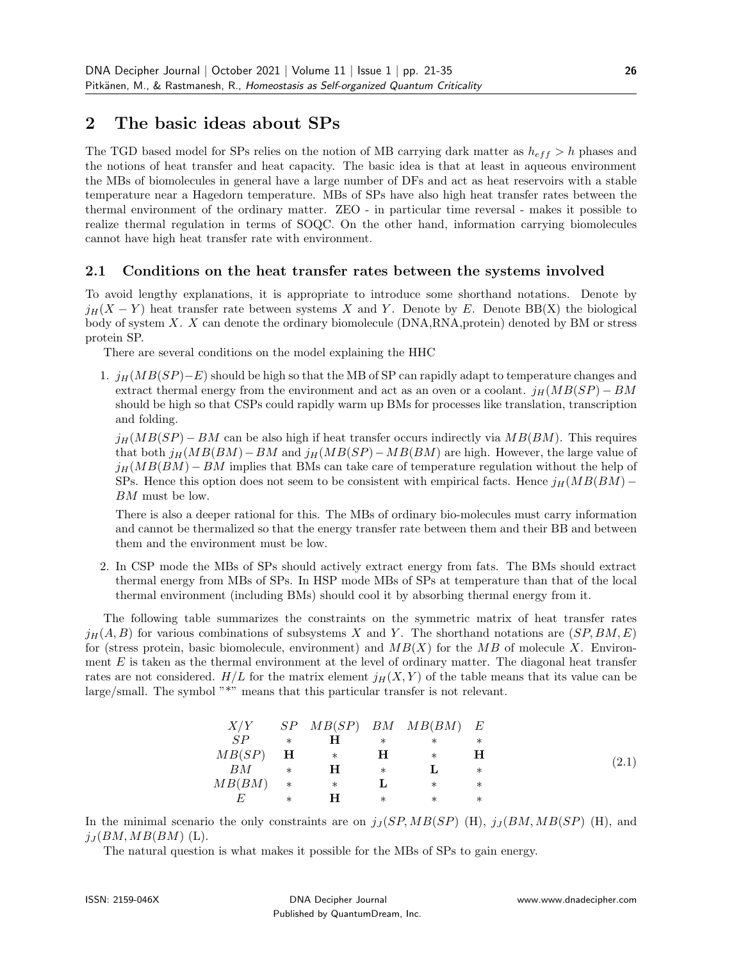# 2 The basic ideas about SPs

The TGD based model for SPs relies on the notion of MB carrying dark matter as  $h_{eff} > h$  phases and the notions of heat transfer and heat capacity. The basic idea is that at least in aqueous environment the MBs of biomolecules in general have a large number of DFs and act as heat reservoirs with a stable temperature near a Hagedorn temperature. MBs of SPs have also high heat transfer rates between the thermal environment of the ordinary matter. ZEO - in particular time reversal - makes it possible to realize thermal regulation in terms of SOQC. On the other hand, information carrying biomolecules cannot have high heat transfer rate with environment.

#### 2.1 Conditions on the heat transfer rates between the systems involved

To avoid lengthy explanations, it is appropriate to introduce some shorthand notations. Denote by  $j_H(X - Y)$  heat transfer rate between systems X and Y. Denote by E. Denote BB(X) the biological body of system X. X can denote the ordinary biomolecule (DNA,RNA,protein) denoted by BM or stress protein SP.

There are several conditions on the model explaining the HHC

1.  $j_H(MB(SP) - E)$  should be high so that the MB of SP can rapidly adapt to temperature changes and extract thermal energy from the environment and act as an oven or a coolant.  $j_H(MB(SP) - BM$ should be high so that CSPs could rapidly warm up BMs for processes like translation, transcription and folding.

 $j_H(MB(SP) - BM$  can be also high if heat transfer occurs indirectly via  $MB(BM)$ . This requires that both  $j_H(MB(BM) – BM$  and  $j_H(MB(SP) – MB(BM)$  are high. However, the large value of  $j_H(MB(BM) - BM$  implies that BMs can take care of temperature regulation without the help of SPs. Hence this option does not seem to be consistent with empirical facts. Hence  $j_H(MB(BM) -$ BM must be low.

There is also a deeper rational for this. The MBs of ordinary bio-molecules must carry information and cannot be thermalized so that the energy transfer rate between them and their BB and between them and the environment must be low.

2. In CSP mode the MBs of SPs should actively extract energy from fats. The BMs should extract thermal energy from MBs of SPs. In HSP mode MBs of SPs at temperature than that of the local thermal environment (including BMs) should cool it by absorbing thermal energy from it.

The following table summarizes the constraints on the symmetric matrix of heat transfer rates  $j_H(A, B)$  for various combinations of subsystems X and Y. The shorthand notations are  $(SP, BM, E)$ for (stress protein, basic biomolecule, environment) and  $MB(X)$  for the MB of molecule X. Environment  $E$  is taken as the thermal environment at the level of ordinary matter. The diagonal heat transfer rates are not considered.  $H/L$  for the matrix element  $j_H(X, Y)$  of the table means that its value can be large/small. The symbol "\*" means that this particular transfer is not relevant.

|            |        |         |        | $X/Y$ SP $MB(SP)$ BM $MB(BM)$ E |         |       |
|------------|--------|---------|--------|---------------------------------|---------|-------|
| SP         | $\ast$ | н       | $\ast$ | $\ast$                          | $^\ast$ |       |
| $MB(SP)$ H |        | $*$ $*$ | H      | $\ast$                          | н       |       |
| BМ         | $\ast$ | H       | $\ast$ |                                 | $\ast$  | (2.1) |
| MB(BM)     | $*$    | $\ast$  |        | $\ast$                          | $\ast$  |       |
|            | $\ast$ | н       | $\ast$ | $\ast$                          | $^\ast$ |       |

In the minimal scenario the only constraints are on  $j<sub>J</sub>(SP, MB(SP)$  (H),  $j<sub>J</sub>(BM, MB(SP)$  (H), and  $j_I(BM, MB(BM)$  (L).

The natural question is what makes it possible for the MBs of SPs to gain energy.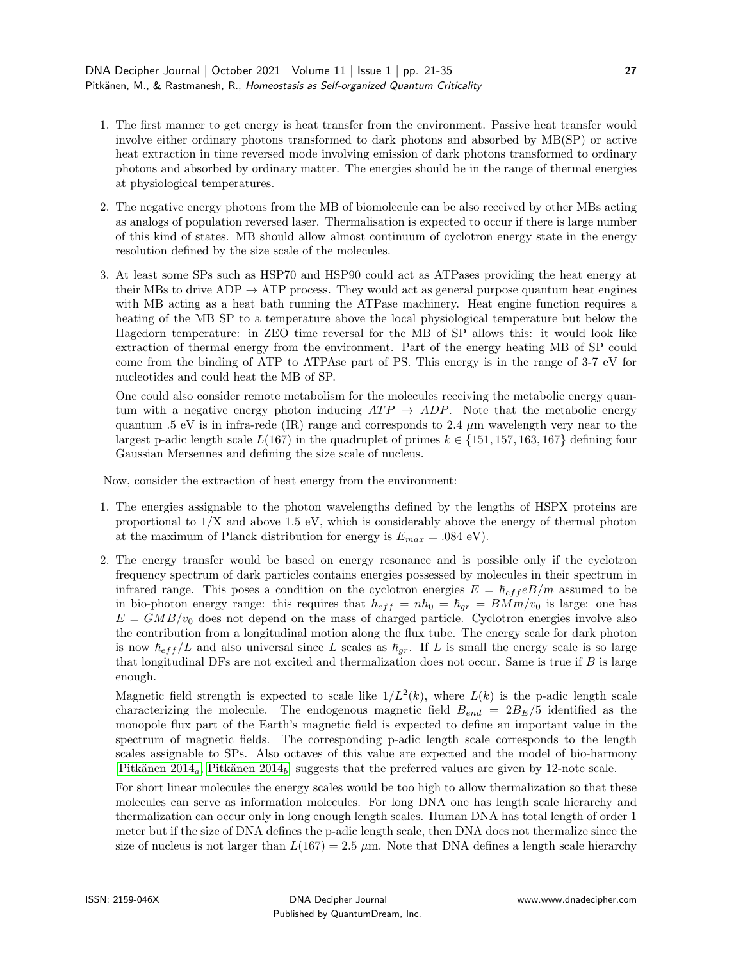- 1. The first manner to get energy is heat transfer from the environment. Passive heat transfer would involve either ordinary photons transformed to dark photons and absorbed by MB(SP) or active heat extraction in time reversed mode involving emission of dark photons transformed to ordinary photons and absorbed by ordinary matter. The energies should be in the range of thermal energies at physiological temperatures.
- 2. The negative energy photons from the MB of biomolecule can be also received by other MBs acting as analogs of population reversed laser. Thermalisation is expected to occur if there is large number of this kind of states. MB should allow almost continuum of cyclotron energy state in the energy resolution defined by the size scale of the molecules.
- 3. At least some SPs such as HSP70 and HSP90 could act as ATPases providing the heat energy at their MBs to drive ADP  $\rightarrow$  ATP process. They would act as general purpose quantum heat engines with MB acting as a heat bath running the ATPase machinery. Heat engine function requires a heating of the MB SP to a temperature above the local physiological temperature but below the Hagedorn temperature: in ZEO time reversal for the MB of SP allows this: it would look like extraction of thermal energy from the environment. Part of the energy heating MB of SP could come from the binding of ATP to ATPAse part of PS. This energy is in the range of 3-7 eV for nucleotides and could heat the MB of SP.

One could also consider remote metabolism for the molecules receiving the metabolic energy quantum with a negative energy photon inducing  $ATP \rightarrow ADP$ . Note that the metabolic energy quantum .5 eV is in infra-rede (IR) range and corresponds to 2.4  $\mu$ m wavelength very near to the largest p-adic length scale  $L(167)$  in the quadruplet of primes  $k \in \{151, 157, 163, 167\}$  defining four Gaussian Mersennes and defining the size scale of nucleus.

Now, consider the extraction of heat energy from the environment:

- 1. The energies assignable to the photon wavelengths defined by the lengths of HSPX proteins are proportional to  $1/X$  and above 1.5 eV, which is considerably above the energy of thermal photon at the maximum of Planck distribution for energy is  $E_{max} = .084 \text{ eV}$ .
- 2. The energy transfer would be based on energy resonance and is possible only if the cyclotron frequency spectrum of dark particles contains energies possessed by molecules in their spectrum in infrared range. This poses a condition on the cyclotron energies  $E = \hbar_{eff} eB/m$  assumed to be in bio-photon energy range: this requires that  $h_{eff} = nh_0 = \hbar_{gr} = B M m/v_0$  is large: one has  $E = GMB/v_0$  does not depend on the mass of charged particle. Cyclotron energies involve also the contribution from a longitudinal motion along the flux tube. The energy scale for dark photon is now  $\hbar_{eff}/L$  and also universal since L scales as  $\hbar_{gr}$ . If L is small the energy scale is so large that longitudinal DFs are not excited and thermalization does not occur. Same is true if  $B$  is large enough.

Magnetic field strength is expected to scale like  $1/L^2(k)$ , where  $L(k)$  is the p-adic length scale characterizing the molecule. The endogenous magnetic field  $B_{end} = 2B_E/5$  identified as the monopole flux part of the Earth's magnetic field is expected to define an important value in the spectrum of magnetic fields. The corresponding p-adic length scale corresponds to the length scales assignable to SPs. Also octaves of this value are expected and the model of bio-harmony [Pitkänen 2014<sub>a</sub>, Pitkänen 2014<sub>b</sub>] suggests that the preferred values are given by 12-note scale.

For short linear molecules the energy scales would be too high to allow thermalization so that these molecules can serve as information molecules. For long DNA one has length scale hierarchy and thermalization can occur only in long enough length scales. Human DNA has total length of order 1 meter but if the size of DNA defines the p-adic length scale, then DNA does not thermalize since the size of nucleus is not larger than  $L(167) = 2.5 \mu m$ . Note that DNA defines a length scale hierarchy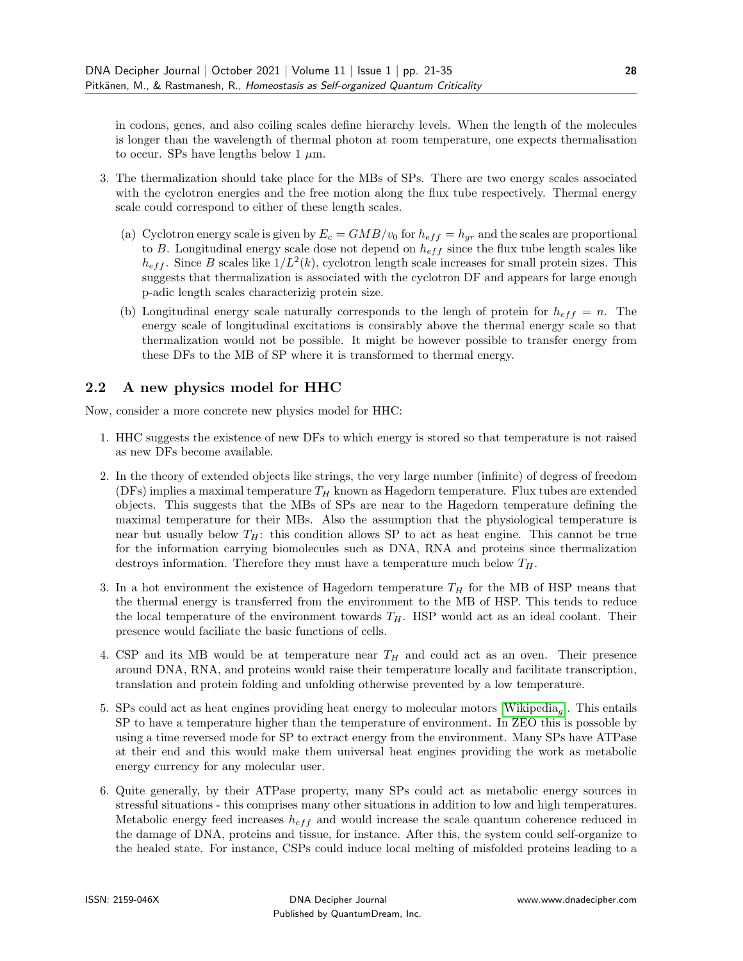in codons, genes, and also coiling scales define hierarchy levels. When the length of the molecules is longer than the wavelength of thermal photon at room temperature, one expects thermalisation to occur. SPs have lengths below 1  $\mu$ m.

- 3. The thermalization should take place for the MBs of SPs. There are two energy scales associated with the cyclotron energies and the free motion along the flux tube respectively. Thermal energy scale could correspond to either of these length scales.
	- (a) Cyclotron energy scale is given by  $E_c = GMB/v_0$  for  $h_{eff} = h_{qr}$  and the scales are proportional to B. Longitudinal energy scale dose not depend on  $h_{eff}$  since the flux tube length scales like  $h_{eff}$ . Since B scales like  $1/L^2(k)$ , cyclotron length scale increases for small protein sizes. This suggests that thermalization is associated with the cyclotron DF and appears for large enough p-adic length scales characterizig protein size.
	- (b) Longitudinal energy scale naturally corresponds to the lengh of protein for  $h_{eff} = n$ . The energy scale of longitudinal excitations is consirably above the thermal energy scale so that thermalization would not be possible. It might be however possible to transfer energy from these DFs to the MB of SP where it is transformed to thermal energy.

#### 2.2 A new physics model for HHC

Now, consider a more concrete new physics model for HHC:

- 1. HHC suggests the existence of new DFs to which energy is stored so that temperature is not raised as new DFs become available.
- 2. In the theory of extended objects like strings, the very large number (infinite) of degress of freedom (DFs) implies a maximal temperature  $T_H$  known as Hagedorn temperature. Flux tubes are extended objects. This suggests that the MBs of SPs are near to the Hagedorn temperature defining the maximal temperature for their MBs. Also the assumption that the physiological temperature is near but usually below  $T_H$ : this condition allows SP to act as heat engine. This cannot be true for the information carrying biomolecules such as DNA, RNA and proteins since thermalization destroys information. Therefore they must have a temperature much below  $T_H$ .
- 3. In a hot environment the existence of Hagedorn temperature  $T_H$  for the MB of HSP means that the thermal energy is transferred from the environment to the MB of HSP. This tends to reduce the local temperature of the environment towards  $T_H$ . HSP would act as an ideal coolant. Their presence would faciliate the basic functions of cells.
- 4. CSP and its MB would be at temperature near  $T_H$  and could act as an oven. Their presence around DNA, RNA, and proteins would raise their temperature locally and facilitate transcription, translation and protein folding and unfolding otherwise prevented by a low temperature.
- 5. SPs could act as heat engines providing heat energy to molecular motors [\[Wikipedia](#page-17-8)g]. This entails SP to have a temperature higher than the temperature of environment. In ZEO this is possoble by using a time reversed mode for SP to extract energy from the environment. Many SPs have ATPase at their end and this would make them universal heat engines providing the work as metabolic energy currency for any molecular user.
- 6. Quite generally, by their ATPase property, many SPs could act as metabolic energy sources in stressful situations - this comprises many other situations in addition to low and high temperatures. Metabolic energy feed increases  $h_{eff}$  and would increase the scale quantum coherence reduced in the damage of DNA, proteins and tissue, for instance. After this, the system could self-organize to the healed state. For instance, CSPs could induce local melting of misfolded proteins leading to a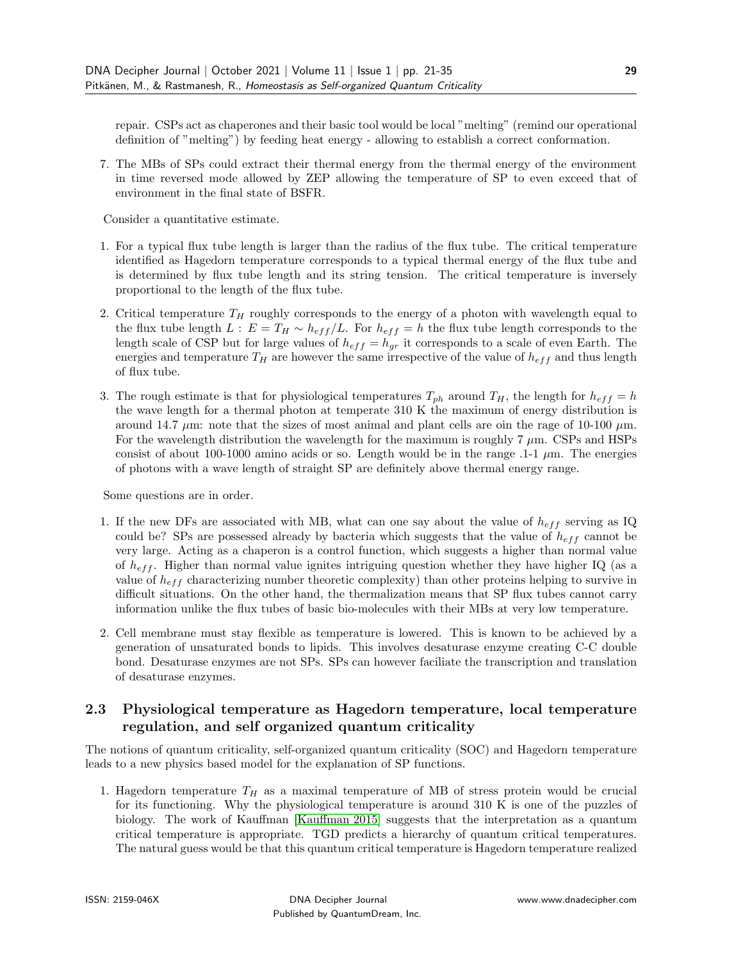repair. CSPs act as chaperones and their basic tool would be local "melting" (remind our operational definition of "melting") by feeding heat energy - allowing to establish a correct conformation.

7. The MBs of SPs could extract their thermal energy from the thermal energy of the environment in time reversed mode allowed by ZEP allowing the temperature of SP to even exceed that of environment in the final state of BSFR.

Consider a quantitative estimate.

- 1. For a typical flux tube length is larger than the radius of the flux tube. The critical temperature identified as Hagedorn temperature corresponds to a typical thermal energy of the flux tube and is determined by flux tube length and its string tension. The critical temperature is inversely proportional to the length of the flux tube.
- 2. Critical temperature  $T_H$  roughly corresponds to the energy of a photon with wavelength equal to the flux tube length  $L : E = T_H \sim h_{eff}/L$ . For  $h_{eff} = h$  the flux tube length corresponds to the length scale of CSP but for large values of  $h_{eff} = h_{gr}$  it corresponds to a scale of even Earth. The energies and temperature  $T_H$  are however the same irrespective of the value of  $h_{eff}$  and thus length of flux tube.
- 3. The rough estimate is that for physiological temperatures  $T_{ph}$  around  $T_H$ , the length for  $h_{eff} = h$ the wave length for a thermal photon at temperate 310 K the maximum of energy distribution is around 14.7  $\mu$ m: note that the sizes of most animal and plant cells are oin the rage of 10-100  $\mu$ m. For the wavelength distribution the wavelength for the maximum is roughly  $7 \mu m$ . CSPs and HSPs consist of about 100-1000 amino acids or so. Length would be in the range  $.1-1 \mu m$ . The energies of photons with a wave length of straight SP are definitely above thermal energy range.

Some questions are in order.

- 1. If the new DFs are associated with MB, what can one say about the value of  $h_{eff}$  serving as IQ could be? SPs are possessed already by bacteria which suggests that the value of  $h_{eff}$  cannot be very large. Acting as a chaperon is a control function, which suggests a higher than normal value of  $h_{\text{eff}}$ . Higher than normal value ignites intriguing question whether they have higher IQ (as a value of  $h_{eff}$  characterizing number theoretic complexity) than other proteins helping to survive in difficult situations. On the other hand, the thermalization means that SP flux tubes cannot carry information unlike the flux tubes of basic bio-molecules with their MBs at very low temperature.
- 2. Cell membrane must stay flexible as temperature is lowered. This is known to be achieved by a generation of unsaturated bonds to lipids. This involves desaturase enzyme creating C-C double bond. Desaturase enzymes are not SPs. SPs can however faciliate the transcription and translation of desaturase enzymes.

#### 2.3 Physiological temperature as Hagedorn temperature, local temperature regulation, and self organized quantum criticality

The notions of quantum criticality, self-organized quantum criticality (SOC) and Hagedorn temperature leads to a new physics based model for the explanation of SP functions.

1. Hagedorn temperature  $T_H$  as a maximal temperature of MB of stress protein would be crucial for its functioning. Why the physiological temperature is around 310 K is one of the puzzles of biology. The work of Kauffman [\[Kauffman 2015\]](#page-15-0) suggests that the interpretation as a quantum critical temperature is appropriate. TGD predicts a hierarchy of quantum critical temperatures. The natural guess would be that this quantum critical temperature is Hagedorn temperature realized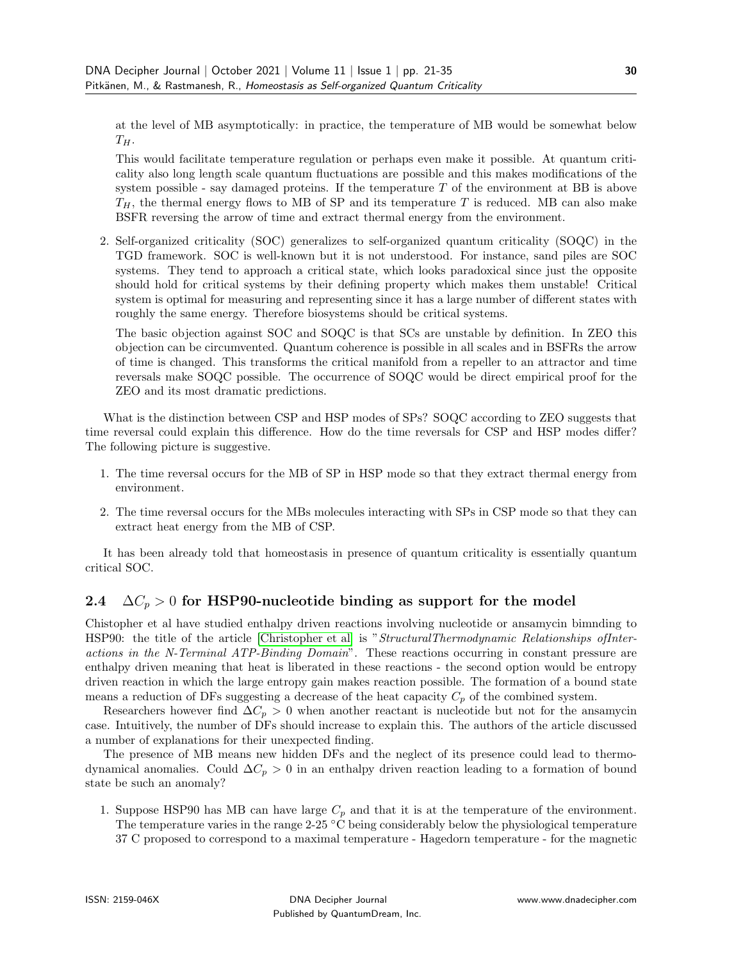at the level of MB asymptotically: in practice, the temperature of MB would be somewhat below  $T_H$ .

This would facilitate temperature regulation or perhaps even make it possible. At quantum criticality also long length scale quantum fluctuations are possible and this makes modifications of the system possible - say damaged proteins. If the temperature  $T$  of the environment at BB is above  $T_H$ , the thermal energy flows to MB of SP and its temperature T is reduced. MB can also make BSFR reversing the arrow of time and extract thermal energy from the environment.

2. Self-organized criticality (SOC) generalizes to self-organized quantum criticality (SOQC) in the TGD framework. SOC is well-known but it is not understood. For instance, sand piles are SOC systems. They tend to approach a critical state, which looks paradoxical since just the opposite should hold for critical systems by their defining property which makes them unstable! Critical system is optimal for measuring and representing since it has a large number of different states with roughly the same energy. Therefore biosystems should be critical systems.

The basic objection against SOC and SOQC is that SCs are unstable by definition. In ZEO this objection can be circumvented. Quantum coherence is possible in all scales and in BSFRs the arrow of time is changed. This transforms the critical manifold from a repeller to an attractor and time reversals make SOQC possible. The occurrence of SOQC would be direct empirical proof for the ZEO and its most dramatic predictions.

What is the distinction between CSP and HSP modes of SPs? SOQC according to ZEO suggests that time reversal could explain this difference. How do the time reversals for CSP and HSP modes differ? The following picture is suggestive.

- 1. The time reversal occurs for the MB of SP in HSP mode so that they extract thermal energy from environment.
- 2. The time reversal occurs for the MBs molecules interacting with SPs in CSP mode so that they can extract heat energy from the MB of CSP.

It has been already told that homeostasis in presence of quantum criticality is essentially quantum critical SOC.

### 2.4  $\Delta C_p > 0$  for HSP90-nucleotide binding as support for the model

Chistopher et al have studied enthalpy driven reactions involving nucleotide or ansamycin bimnding to HSP90: the title of the article [\[Christopher et al\]](#page-14-2) is "StructuralThermodynamic Relationships ofInteractions in the N-Terminal ATP-Binding Domain". These reactions occurring in constant pressure are enthalpy driven meaning that heat is liberated in these reactions - the second option would be entropy driven reaction in which the large entropy gain makes reaction possible. The formation of a bound state means a reduction of DFs suggesting a decrease of the heat capacity  $C_p$  of the combined system.

Researchers however find  $\Delta C_p > 0$  when another reactant is nucleotide but not for the ansamycin case. Intuitively, the number of DFs should increase to explain this. The authors of the article discussed a number of explanations for their unexpected finding.

The presence of MB means new hidden DFs and the neglect of its presence could lead to thermodynamical anomalies. Could  $\Delta C_p > 0$  in an enthalpy driven reaction leading to a formation of bound state be such an anomaly?

1. Suppose HSP90 has MB can have large  $C_p$  and that it is at the temperature of the environment. The temperature varies in the range  $2-25$  °C being considerably below the physiological temperature 37 C proposed to correspond to a maximal temperature - Hagedorn temperature - for the magnetic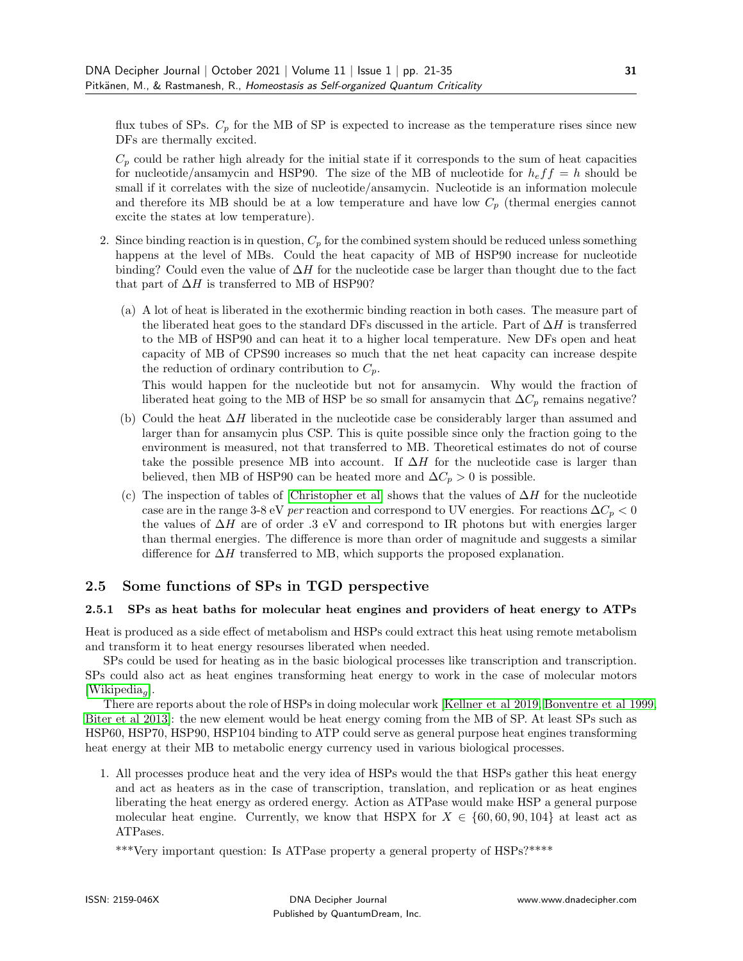flux tubes of SPs.  $C_p$  for the MB of SP is expected to increase as the temperature rises since new DFs are thermally excited.

 $C_p$  could be rather high already for the initial state if it corresponds to the sum of heat capacities for nucleotide/ansamycin and HSP90. The size of the MB of nucleotide for  $h_e f f = h$  should be small if it correlates with the size of nucleotide/ansamycin. Nucleotide is an information molecule and therefore its MB should be at a low temperature and have low  $C_p$  (thermal energies cannot excite the states at low temperature).

- 2. Since binding reaction is in question,  $C_p$  for the combined system should be reduced unless something happens at the level of MBs. Could the heat capacity of MB of HSP90 increase for nucleotide binding? Could even the value of  $\Delta H$  for the nucleotide case be larger than thought due to the fact that part of  $\Delta H$  is transferred to MB of HSP90?
	- (a) A lot of heat is liberated in the exothermic binding reaction in both cases. The measure part of the liberated heat goes to the standard DFs discussed in the article. Part of  $\Delta H$  is transferred to the MB of HSP90 and can heat it to a higher local temperature. New DFs open and heat capacity of MB of CPS90 increases so much that the net heat capacity can increase despite the reduction of ordinary contribution to  $C_p$ .

This would happen for the nucleotide but not for ansamycin. Why would the fraction of liberated heat going to the MB of HSP be so small for ansamycin that  $\Delta C_p$  remains negative?

- (b) Could the heat  $\Delta H$  liberated in the nucleotide case be considerably larger than assumed and larger than for ansamycin plus CSP. This is quite possible since only the fraction going to the environment is measured, not that transferred to MB. Theoretical estimates do not of course take the possible presence MB into account. If  $\Delta H$  for the nucleotide case is larger than believed, then MB of HSP90 can be heated more and  $\Delta C_p > 0$  is possible.
- (c) The inspection of tables of [\[Christopher et al\]](#page-14-2) shows that the values of  $\Delta H$  for the nucleotide case are in the range 3-8 eV per reaction and correspond to UV energies. For reactions  $\Delta C_p < 0$ the values of  $\Delta H$  are of order .3 eV and correspond to IR photons but with energies larger than thermal energies. The difference is more than order of magnitude and suggests a similar difference for  $\Delta H$  transferred to MB, which supports the proposed explanation.

### 2.5 Some functions of SPs in TGD perspective

#### 2.5.1 SPs as heat baths for molecular heat engines and providers of heat energy to ATPs

Heat is produced as a side effect of metabolism and HSPs could extract this heat using remote metabolism and transform it to heat energy resourses liberated when needed.

SPs could be used for heating as in the basic biological processes like transcription and transcription. SPs could also act as heat engines transforming heat energy to work in the case of molecular motors [\[Wikipedia](#page-17-8)<sub>a</sub>].

There are reports about the role of HSPs in doing molecular work [\[Kellner et al 2019,](#page-15-3) [Bonventre et al 1999,](#page-14-3) [Biter et al 2013\]](#page-14-1): the new element would be heat energy coming from the MB of SP. At least SPs such as HSP60, HSP70, HSP90, HSP104 binding to ATP could serve as general purpose heat engines transforming heat energy at their MB to metabolic energy currency used in various biological processes.

1. All processes produce heat and the very idea of HSPs would the that HSPs gather this heat energy and act as heaters as in the case of transcription, translation, and replication or as heat engines liberating the heat energy as ordered energy. Action as ATPase would make HSP a general purpose molecular heat engine. Currently, we know that HSPX for  $X \in \{60, 60, 90, 104\}$  at least act as ATPases.

\*\*\*Very important question: Is ATPase property a general property of HSPs?\*\*\*\*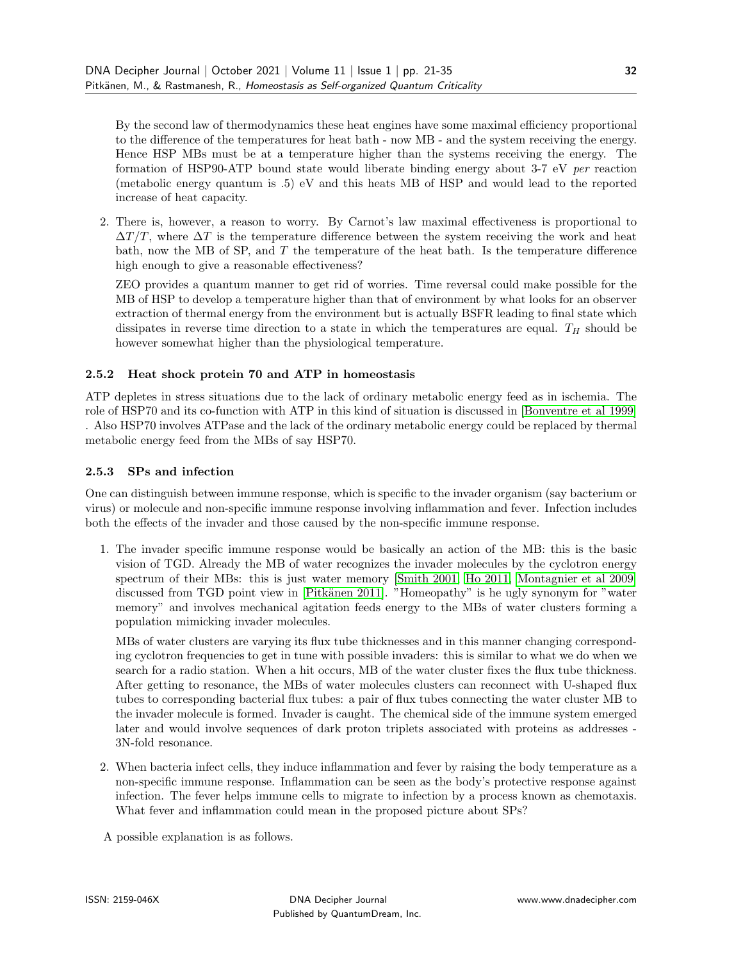By the second law of thermodynamics these heat engines have some maximal efficiency proportional to the difference of the temperatures for heat bath - now MB - and the system receiving the energy. Hence HSP MBs must be at a temperature higher than the systems receiving the energy. The formation of HSP90-ATP bound state would liberate binding energy about 3-7 eV per reaction (metabolic energy quantum is .5) eV and this heats MB of HSP and would lead to the reported increase of heat capacity.

2. There is, however, a reason to worry. By Carnot's law maximal effectiveness is proportional to  $\Delta T/T$ , where  $\Delta T$  is the temperature difference between the system receiving the work and heat bath, now the MB of SP, and T the temperature of the heat bath. Is the temperature difference high enough to give a reasonable effectiveness?

ZEO provides a quantum manner to get rid of worries. Time reversal could make possible for the MB of HSP to develop a temperature higher than that of environment by what looks for an observer extraction of thermal energy from the environment but is actually BSFR leading to final state which dissipates in reverse time direction to a state in which the temperatures are equal.  $T_H$  should be however somewhat higher than the physiological temperature.

#### 2.5.2 Heat shock protein 70 and ATP in homeostasis

ATP depletes in stress situations due to the lack of ordinary metabolic energy feed as in ischemia. The role of HSP70 and its co-function with ATP in this kind of situation is discussed in [\[Bonventre et al 1999\]](#page-14-3) . Also HSP70 involves ATPase and the lack of the ordinary metabolic energy could be replaced by thermal metabolic energy feed from the MBs of say HSP70.

#### 2.5.3 SPs and infection

One can distinguish between immune response, which is specific to the invader organism (say bacterium or virus) or molecule and non-specific immune response involving inflammation and fever. Infection includes both the effects of the invader and those caused by the non-specific immune response.

1. The invader specific immune response would be basically an action of the MB: this is the basic vision of TGD. Already the MB of water recognizes the invader molecules by the cyclotron energy spectrum of their MBs: this is just water memory [\[Smith 2001,](#page-17-9) [Ho 2011,](#page-15-9) [Montagnier et al 2009\]](#page-15-10) discussed from TGD point view in [Pitkänen 2011]. "Homeopathy" is he ugly synonym for "water memory" and involves mechanical agitation feeds energy to the MBs of water clusters forming a population mimicking invader molecules.

MBs of water clusters are varying its flux tube thicknesses and in this manner changing corresponding cyclotron frequencies to get in tune with possible invaders: this is similar to what we do when we search for a radio station. When a hit occurs, MB of the water cluster fixes the flux tube thickness. After getting to resonance, the MBs of water molecules clusters can reconnect with U-shaped flux tubes to corresponding bacterial flux tubes: a pair of flux tubes connecting the water cluster MB to the invader molecule is formed. Invader is caught. The chemical side of the immune system emerged later and would involve sequences of dark proton triplets associated with proteins as addresses - 3N-fold resonance.

2. When bacteria infect cells, they induce inflammation and fever by raising the body temperature as a non-specific immune response. Inflammation can be seen as the body's protective response against infection. The fever helps immune cells to migrate to infection by a process known as chemotaxis. What fever and inflammation could mean in the proposed picture about SPs?

A possible explanation is as follows.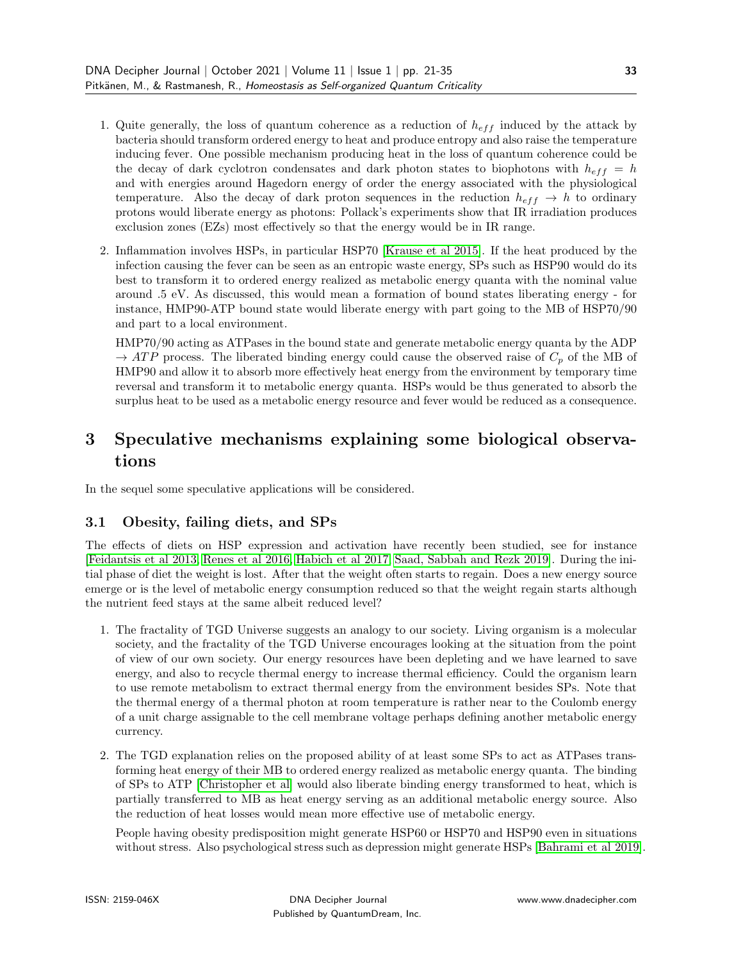- 1. Quite generally, the loss of quantum coherence as a reduction of  $h_{eff}$  induced by the attack by bacteria should transform ordered energy to heat and produce entropy and also raise the temperature inducing fever. One possible mechanism producing heat in the loss of quantum coherence could be the decay of dark cyclotron condensates and dark photon states to biophotons with  $h_{eff} = h$ and with energies around Hagedorn energy of order the energy associated with the physiological temperature. Also the decay of dark proton sequences in the reduction  $h_{eff} \rightarrow h$  to ordinary protons would liberate energy as photons: Pollack's experiments show that IR irradiation produces exclusion zones (EZs) most effectively so that the energy would be in IR range.
- 2. Inflammation involves HSPs, in particular HSP70 [\[Krause et al 2015\]](#page-15-11). If the heat produced by the infection causing the fever can be seen as an entropic waste energy, SPs such as HSP90 would do its best to transform it to ordered energy realized as metabolic energy quanta with the nominal value around .5 eV. As discussed, this would mean a formation of bound states liberating energy - for instance, HMP90-ATP bound state would liberate energy with part going to the MB of HSP70/90 and part to a local environment.

HMP70/90 acting as ATPases in the bound state and generate metabolic energy quanta by the ADP  $\rightarrow ATP$  process. The liberated binding energy could cause the observed raise of  $C_p$  of the MB of HMP90 and allow it to absorb more effectively heat energy from the environment by temporary time reversal and transform it to metabolic energy quanta. HSPs would be thus generated to absorb the surplus heat to be used as a metabolic energy resource and fever would be reduced as a consequence.

# 3 Speculative mechanisms explaining some biological observations

In the sequel some speculative applications will be considered.

# 3.1 Obesity, failing diets, and SPs

The effects of diets on HSP expression and activation have recently been studied, see for instance [\[Feidantsis et al 2013,](#page-14-4) [Renes et al 2016,](#page-17-10) [Habich et al 2017,](#page-15-12) [Saad, Sabbah and Rezk 2019\]](#page-17-11). During the initial phase of diet the weight is lost. After that the weight often starts to regain. Does a new energy source emerge or is the level of metabolic energy consumption reduced so that the weight regain starts although the nutrient feed stays at the same albeit reduced level?

- 1. The fractality of TGD Universe suggests an analogy to our society. Living organism is a molecular society, and the fractality of the TGD Universe encourages looking at the situation from the point of view of our own society. Our energy resources have been depleting and we have learned to save energy, and also to recycle thermal energy to increase thermal efficiency. Could the organism learn to use remote metabolism to extract thermal energy from the environment besides SPs. Note that the thermal energy of a thermal photon at room temperature is rather near to the Coulomb energy of a unit charge assignable to the cell membrane voltage perhaps defining another metabolic energy currency.
- 2. The TGD explanation relies on the proposed ability of at least some SPs to act as ATPases transforming heat energy of their MB to ordered energy realized as metabolic energy quanta. The binding of SPs to ATP [\[Christopher et al\]](#page-14-2) would also liberate binding energy transformed to heat, which is partially transferred to MB as heat energy serving as an additional metabolic energy source. Also the reduction of heat losses would mean more effective use of metabolic energy.

People having obesity predisposition might generate HSP60 or HSP70 and HSP90 even in situations without stress. Also psychological stress such as depression might generate HSPs [\[Bahrami et al 2019\]](#page-14-5).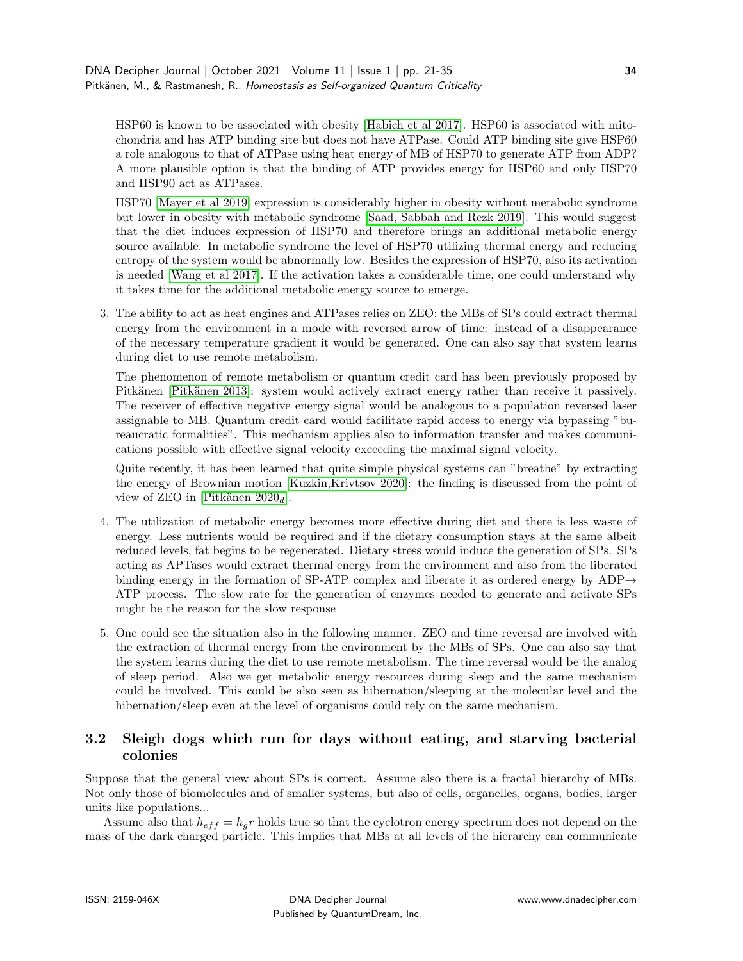HSP60 is known to be associated with obesity [\[Habich et al 2017\]](#page-15-12). HSP60 is associated with mitochondria and has ATP binding site but does not have ATPase. Could ATP binding site give HSP60 a role analogous to that of ATPase using heat energy of MB of HSP70 to generate ATP from ADP? A more plausible option is that the binding of ATP provides energy for HSP60 and only HSP70 and HSP90 act as ATPases.

HSP70 [\[Mayer et al 2019\]](#page-15-13) expression is considerably higher in obesity without metabolic syndrome but lower in obesity with metabolic syndrome [\[Saad, Sabbah and Rezk 2019\]](#page-17-11). This would suggest that the diet induces expression of HSP70 and therefore brings an additional metabolic energy source available. In metabolic syndrome the level of HSP70 utilizing thermal energy and reducing entropy of the system would be abnormally low. Besides the expression of HSP70, also its activation is needed [\[Wang et al 2017\]](#page-17-12). If the activation takes a considerable time, one could understand why it takes time for the additional metabolic energy source to emerge.

3. The ability to act as heat engines and ATPases relies on ZEO: the MBs of SPs could extract thermal energy from the environment in a mode with reversed arrow of time: instead of a disappearance of the necessary temperature gradient it would be generated. One can also say that system learns during diet to use remote metabolism.

The phenomenon of remote metabolism or quantum credit card has been previously proposed by Pitkänen [Pitkänen 2013]: system would actively extract energy rather than receive it passively. The receiver of effective negative energy signal would be analogous to a population reversed laser assignable to MB. Quantum credit card would facilitate rapid access to energy via bypassing "bureaucratic formalities". This mechanism applies also to information transfer and makes communications possible with effective signal velocity exceeding the maximal signal velocity.

Quite recently, it has been learned that quite simple physical systems can "breathe" by extracting the energy of Brownian motion [\[Kuzkin,Krivtsov 2020\]](#page-15-14): the finding is discussed from the point of view of ZEO in [Pitkänen 2020 $_d$ ].

- 4. The utilization of metabolic energy becomes more effective during diet and there is less waste of energy. Less nutrients would be required and if the dietary consumption stays at the same albeit reduced levels, fat begins to be regenerated. Dietary stress would induce the generation of SPs. SPs acting as APTases would extract thermal energy from the environment and also from the liberated binding energy in the formation of SP-ATP complex and liberate it as ordered energy by ADP $\rightarrow$ ATP process. The slow rate for the generation of enzymes needed to generate and activate SPs might be the reason for the slow response
- 5. One could see the situation also in the following manner. ZEO and time reversal are involved with the extraction of thermal energy from the environment by the MBs of SPs. One can also say that the system learns during the diet to use remote metabolism. The time reversal would be the analog of sleep period. Also we get metabolic energy resources during sleep and the same mechanism could be involved. This could be also seen as hibernation/sleeping at the molecular level and the hibernation/sleep even at the level of organisms could rely on the same mechanism.

#### 3.2 Sleigh dogs which run for days without eating, and starving bacterial colonies

Suppose that the general view about SPs is correct. Assume also there is a fractal hierarchy of MBs. Not only those of biomolecules and of smaller systems, but also of cells, organelles, organs, bodies, larger units like populations...

Assume also that  $h_{eff} = h_g r$  holds true so that the cyclotron energy spectrum does not depend on the mass of the dark charged particle. This implies that MBs at all levels of the hierarchy can communicate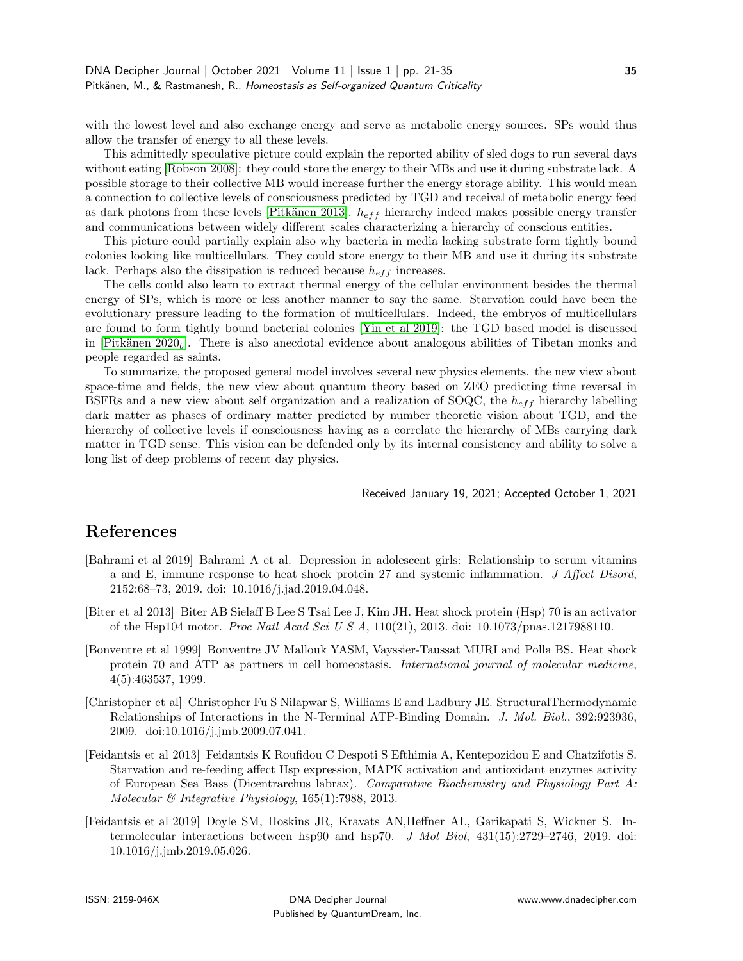with the lowest level and also exchange energy and serve as metabolic energy sources. SPs would thus allow the transfer of energy to all these levels.

This admittedly speculative picture could explain the reported ability of sled dogs to run several days without eating [\[Robson 2008\]](#page-17-14): they could store the energy to their MBs and use it during substrate lack. A possible storage to their collective MB would increase further the energy storage ability. This would mean a connection to collective levels of consciousness predicted by TGD and receival of metabolic energy feed as dark photons from these levels [Pitkänen 2013].  $h_{eff}$  hierarchy indeed makes possible energy transfer and communications between widely different scales characterizing a hierarchy of conscious entities.

This picture could partially explain also why bacteria in media lacking substrate form tightly bound colonies looking like multicellulars. They could store energy to their MB and use it during its substrate lack. Perhaps also the dissipation is reduced because  $h_{eff}$  increases.

The cells could also learn to extract thermal energy of the cellular environment besides the thermal energy of SPs, which is more or less another manner to say the same. Starvation could have been the evolutionary pressure leading to the formation of multicellulars. Indeed, the embryos of multicellulars are found to form tightly bound bacterial colonies [\[Yin et al 2019\]](#page-17-15): the TGD based model is discussed in  $[Pitkänen 2020<sub>b</sub>]$ . There is also anecdotal evidence about analogous abilities of Tibetan monks and people regarded as saints.

To summarize, the proposed general model involves several new physics elements. the new view about space-time and fields, the new view about quantum theory based on ZEO predicting time reversal in BSFRs and a new view about self organization and a realization of SOQC, the  $h_{eff}$  hierarchy labelling dark matter as phases of ordinary matter predicted by number theoretic vision about TGD, and the hierarchy of collective levels if consciousness having as a correlate the hierarchy of MBs carrying dark matter in TGD sense. This vision can be defended only by its internal consistency and ability to solve a long list of deep problems of recent day physics.

Received January 19, 2021; Accepted October 1, 2021

### References

- <span id="page-14-5"></span>[Bahrami et al 2019] Bahrami A et al. Depression in adolescent girls: Relationship to serum vitamins a and E, immune response to heat shock protein 27 and systemic inflammation. J Affect Disord, 2152:68–73, 2019. doi: 10.1016/j.jad.2019.04.048.
- <span id="page-14-1"></span>[Biter et al 2013] Biter AB Sielaff B Lee S Tsai Lee J, Kim JH. Heat shock protein (Hsp) 70 is an activator of the Hsp104 motor. Proc Natl Acad Sci U S A, 110(21), 2013. doi: 10.1073/pnas.1217988110.
- <span id="page-14-3"></span>[Bonventre et al 1999] Bonventre JV Mallouk YASM, Vayssier-Taussat MURI and Polla BS. Heat shock protein 70 and ATP as partners in cell homeostasis. International journal of molecular medicine, 4(5):463537, 1999.
- <span id="page-14-2"></span>[Christopher et al] Christopher Fu S Nilapwar S, Williams E and Ladbury JE. StructuralThermodynamic Relationships of Interactions in the N-Terminal ATP-Binding Domain. J. Mol. Biol., 392:923936, 2009. doi:10.1016/j.jmb.2009.07.041.
- <span id="page-14-4"></span>[Feidantsis et al 2013] Feidantsis K Roufidou C Despoti S Efthimia A, Kentepozidou E and Chatzifotis S. Starvation and re-feeding affect Hsp expression, MAPK activation and antioxidant enzymes activity of European Sea Bass (Dicentrarchus labrax). Comparative Biochemistry and Physiology Part A: Molecular & Integrative Physiology, 165(1):7988, 2013.
- <span id="page-14-0"></span>[Feidantsis et al 2019] Doyle SM, Hoskins JR, Kravats AN,Heffner AL, Garikapati S, Wickner S. Intermolecular interactions between hsp90 and hsp70. J Mol Biol, 431(15):2729–2746, 2019. doi: 10.1016/j.jmb.2019.05.026.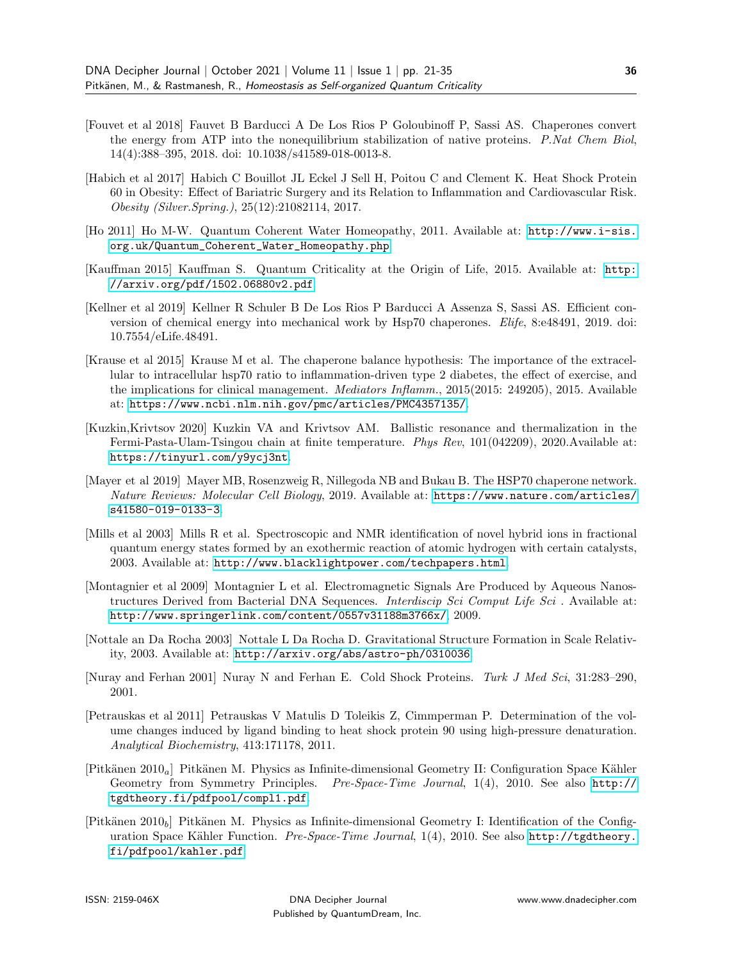- <span id="page-15-4"></span>[Fouvet et al 2018] Fauvet B Barducci A De Los Rios P Goloubinoff P, Sassi AS. Chaperones convert the energy from ATP into the nonequilibrium stabilization of native proteins. P.Nat Chem Biol, 14(4):388–395, 2018. doi: 10.1038/s41589-018-0013-8.
- <span id="page-15-12"></span>[Habich et al 2017] Habich C Bouillot JL Eckel J Sell H, Poitou C and Clement K. Heat Shock Protein 60 in Obesity: Effect of Bariatric Surgery and its Relation to Inflammation and Cardiovascular Risk. Obesity (Silver.Spring.), 25(12):21082114, 2017.
- <span id="page-15-9"></span>[Ho 2011] Ho M-W. Quantum Coherent Water Homeopathy, 2011. Available at: [http://www.i-sis.](http://www.i-sis.org.uk/Quantum_Coherent_Water_Homeopathy.php) [org.uk/Quantum\\_Coherent\\_Water\\_Homeopathy.php](http://www.i-sis.org.uk/Quantum_Coherent_Water_Homeopathy.php).
- <span id="page-15-0"></span>[Kauffman 2015] Kauffman S. Quantum Criticality at the Origin of Life, 2015. Available at: [http:](http://arxiv.org/pdf/1502.06880v2.pdf) [//arxiv.org/pdf/1502.06880v2.pdf](http://arxiv.org/pdf/1502.06880v2.pdf).
- <span id="page-15-3"></span>[Kellner et al 2019] Kellner R Schuler B De Los Rios P Barducci A Assenza S, Sassi AS. Efficient conversion of chemical energy into mechanical work by Hsp70 chaperones. Elife, 8:e48491, 2019. doi: 10.7554/eLife.48491.
- <span id="page-15-11"></span>[Krause et al 2015] Krause M et al. The chaperone balance hypothesis: The importance of the extracellular to intracellular hsp70 ratio to inflammation-driven type 2 diabetes, the effect of exercise, and the implications for clinical management. Mediators Inflamm., 2015(2015: 249205), 2015. Available at: <https://www.ncbi.nlm.nih.gov/pmc/articles/PMC4357135/>.
- <span id="page-15-14"></span>[Kuzkin,Krivtsov 2020] Kuzkin VA and Krivtsov AM. Ballistic resonance and thermalization in the Fermi-Pasta-Ulam-Tsingou chain at finite temperature. Phys Rev, 101(042209), 2020.Available at: <https://tinyurl.com/y9ycj3nt>.
- <span id="page-15-13"></span>[Mayer et al 2019] Mayer MB, Rosenzweig R, Nillegoda NB and Bukau B. The HSP70 chaperone network. Nature Reviews: Molecular Cell Biology, 2019. Available at: [https://www.nature.com/articles/](https://www.nature.com/articles/s41580-019-0133-3) [s41580-019-0133-3](https://www.nature.com/articles/s41580-019-0133-3).
- <span id="page-15-7"></span>[Mills et al 2003] Mills R et al. Spectroscopic and NMR identification of novel hybrid ions in fractional quantum energy states formed by an exothermic reaction of atomic hydrogen with certain catalysts, 2003. Available at: <http://www.blacklightpower.com/techpapers.html>.
- <span id="page-15-10"></span>[Montagnier et al 2009] Montagnier L et al. Electromagnetic Signals Are Produced by Aqueous Nanostructures Derived from Bacterial DNA Sequences. *Interdiscip Sci Comput Life Sci*. Available at: <http://www.springerlink.com/content/0557v31188m3766x/>, 2009.
- <span id="page-15-8"></span>[Nottale an Da Rocha 2003] Nottale L Da Rocha D. Gravitational Structure Formation in Scale Relativity, 2003. Available at: <http://arxiv.org/abs/astro-ph/0310036>.
- <span id="page-15-1"></span>[Nuray and Ferhan 2001] Nuray N and Ferhan E. Cold Shock Proteins. Turk J Med Sci, 31:283–290, 2001.
- <span id="page-15-2"></span>[Petrauskas et al 2011] Petrauskas V Matulis D Toleikis Z, Cimmperman P. Determination of the volume changes induced by ligand binding to heat shock protein 90 using high-pressure denaturation. Analytical Biochemistry, 413:171178, 2011.
- <span id="page-15-6"></span>[Pitkänen 2010<sub>a</sub>] Pitkänen M. Physics as Infinite-dimensional Geometry II: Configuration Space Kähler Geometry from Symmetry Principles. Pre-Space-Time Journal, 1(4), 2010. See also [http://](http://tgdtheory.fi/pdfpool/compl1.pdf) [tgdtheory.fi/pdfpool/compl1.pdf](http://tgdtheory.fi/pdfpool/compl1.pdf).
- <span id="page-15-5"></span>[Pitkänen 2010<sub>b</sub>] Pitkänen M. Physics as Infinite-dimensional Geometry I: Identification of the Configuration Space Kähler Function. Pre-Space-Time Journal, 1(4), 2010. See also [http://tgdtheory.](http://tgdtheory.fi/pdfpool/kahler.pdf) [fi/pdfpool/kahler.pdf](http://tgdtheory.fi/pdfpool/kahler.pdf).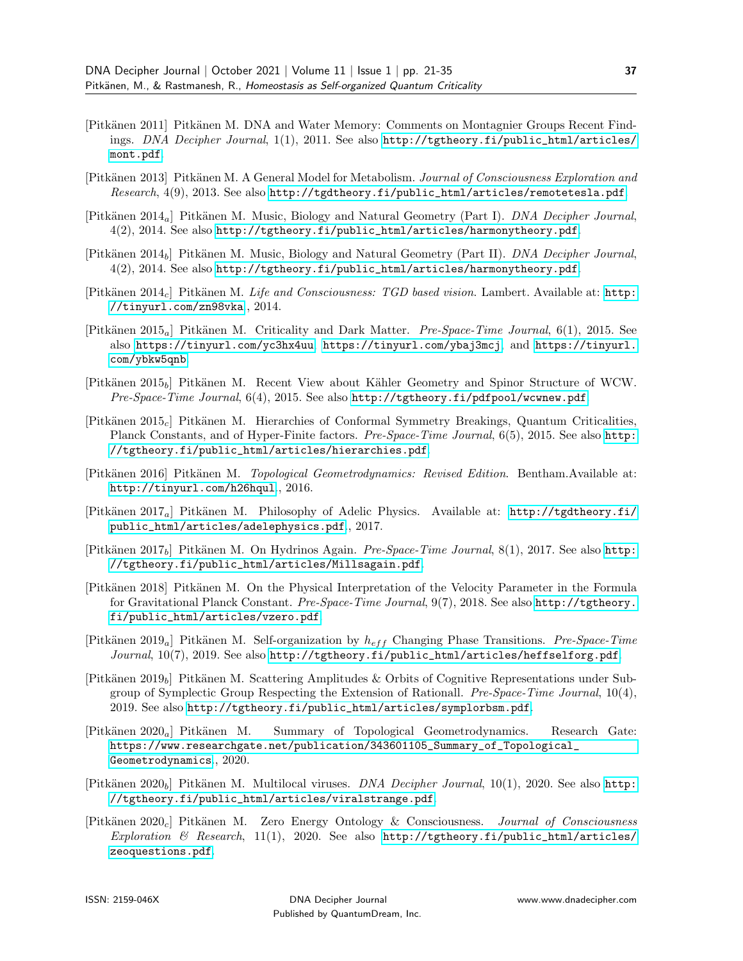- <span id="page-16-14"></span>[Pitkänen 2011] Pitkänen M. DNA and Water Memory: Comments on Montagnier Groups Recent Findings. DNA Decipher Journal, 1(1), 2011. See also [http://tgtheory.fi/public\\_html/articles/](http://tgtheory.fi/public_html/articles/mont.pdf) [mont.pdf](http://tgtheory.fi/public_html/articles/mont.pdf).
- <span id="page-16-15"></span>[Pitkänen 2013] Pitkänen M. A General Model for Metabolism. Journal of Consciousness Exploration and Research, 4(9), 2013. See also [http://tgdtheory.fi/public\\_html/articles/remotetesla.pdf](http://tgdtheory.fi/public_html/articles/remotetesla.pdf).
- <span id="page-16-11"></span> $[Pitkänen 2014_a]$  Pitkänen M. Music, Biology and Natural Geometry (Part I). DNA Decipher Journal, 4(2), 2014. See also [http://tgtheory.fi/public\\_html/articles/harmonytheory.pdf](http://tgtheory.fi/public_html/articles/harmonytheory.pdf).
- <span id="page-16-12"></span>[Pitkänen 2014<sub>b</sub>] Pitkänen M. Music, Biology and Natural Geometry (Part II). *DNA Decipher Journal*, 4(2), 2014. See also [http://tgtheory.fi/public\\_html/articles/harmonytheory.pdf](http://tgtheory.fi/public_html/articles/harmonytheory.pdf).
- <span id="page-16-1"></span>[Pitkänen 2014<sub>c</sub>] Pitkänen M. Life and Consciousness: TGD based vision. Lambert. Available at: [http:](http://tinyurl.com/zn98vka) [//tinyurl.com/zn98vka](http://tinyurl.com/zn98vka)., 2014.
- <span id="page-16-5"></span>[Pitkänen 2015<sub>a</sub>] Pitkänen M. Criticality and Dark Matter. *Pre-Space-Time Journal*, 6(1), 2015. See also <https://tinyurl.com/yc3hx4uu>, <https://tinyurl.com/ybaj3mcj>, and [https://tinyurl.](https://tinyurl.com/ybkw5qnb) [com/ybkw5qnb](https://tinyurl.com/ybkw5qnb).
- <span id="page-16-7"></span>[Pitk¨anen 2015b] Pitk¨anen M. Recent View about K¨ahler Geometry and Spinor Structure of WCW. Pre-Space-Time Journal,  $6(4)$ , 2015. See also <http://tgtheory.fi/pdfpool/wcwnew.pdf>.
- <span id="page-16-6"></span>[Pitk¨anen 2015c] Pitk¨anen M. Hierarchies of Conformal Symmetry Breakings, Quantum Criticalities, Planck Constants, and of Hyper-Finite factors. Pre-Space-Time Journal, 6(5), 2015. See also [http:](http://tgtheory.fi/public_html/articles/hierarchies.pdf) [//tgtheory.fi/public\\_html/articles/hierarchies.pdf](http://tgtheory.fi/public_html/articles/hierarchies.pdf).
- <span id="page-16-2"></span>[Pitkänen 2016] Pitkänen M. Topological Geometrodynamics: Revised Edition. Bentham.Available at: <http://tinyurl.com/h26hqul>., 2016.
- <span id="page-16-9"></span>[Pitkänen 2017<sub>a</sub>] Pitkänen M. Philosophy of Adelic Physics. Available at: [http://tgdtheory.fi/](http://tgdtheory.fi/public_html/articles/adelephysics.pdf) [public\\_html/articles/adelephysics.pdf](http://tgdtheory.fi/public_html/articles/adelephysics.pdf)., 2017.
- <span id="page-16-10"></span>[Pitkänen 2017<sub>b</sub>] Pitkänen M. On Hydrinos Again. *Pre-Space-Time Journal*,  $8(1)$ , 2017. See also [http:](http://tgtheory.fi/public_html/articles/Millsagain.pdf) [//tgtheory.fi/public\\_html/articles/Millsagain.pdf](http://tgtheory.fi/public_html/articles/Millsagain.pdf).
- <span id="page-16-13"></span>[Pitkänen 2018] Pitkänen M. On the Physical Interpretation of the Velocity Parameter in the Formula for Gravitational Planck Constant. Pre-Space-Time Journal, 9(7), 2018. See also [http://tgtheory.](http://tgtheory.fi/public_html/articles/vzero.pdf) [fi/public\\_html/articles/vzero.pdf](http://tgtheory.fi/public_html/articles/vzero.pdf).
- <span id="page-16-4"></span>[Pitkänen 2019<sub>a</sub>] Pitkänen M. Self-organization by  $h_{eff}$  Changing Phase Transitions. Pre-Space-Time Journal, 10(7), 2019. See also [http://tgtheory.fi/public\\_html/articles/heffselforg.pdf](http://tgtheory.fi/public_html/articles/heffselforg.pdf).
- <span id="page-16-8"></span>[Pitkänen 2019<sub>b</sub>] Pitkänen M. Scattering Amplitudes & Orbits of Cognitive Representations under Subgroup of Symplectic Group Respecting the Extension of Rationall. Pre-Space-Time Journal, 10(4), 2019. See also [http://tgtheory.fi/public\\_html/articles/symplorbsm.pdf](http://tgtheory.fi/public_html/articles/symplorbsm.pdf).
- <span id="page-16-0"></span> $[Pitkänen 2020_a]$  Pitkänen M. Summary of Topological Geometrodynamics. Research Gate: [https://www.researchgate.net/publication/343601105\\_Summary\\_of\\_Topological\\_](https://www.researchgate.net/publication/343601105_Summary_of_Topological_Geometrodynamics) [Geometrodynamics](https://www.researchgate.net/publication/343601105_Summary_of_Topological_Geometrodynamics)., 2020.
- <span id="page-16-16"></span>[Pitkänen 2020<sub>b</sub>] Pitkänen M. Multilocal viruses. *DNA Decipher Journal*, 10(1), 2020. See also [http:](http://tgtheory.fi/public_html/articles/viralstrange.pdf) [//tgtheory.fi/public\\_html/articles/viralstrange.pdf](http://tgtheory.fi/public_html/articles/viralstrange.pdf).
- <span id="page-16-3"></span>[Pitk¨anen 2020c] Pitk¨anen M. Zero Energy Ontology & Consciousness. Journal of Consciousness Exploration & Research, 11(1), 2020. See also [http://tgtheory.fi/public\\_html/articles/](http://tgtheory.fi/public_html/articles/zeoquestions.pdf) [zeoquestions.pdf](http://tgtheory.fi/public_html/articles/zeoquestions.pdf).